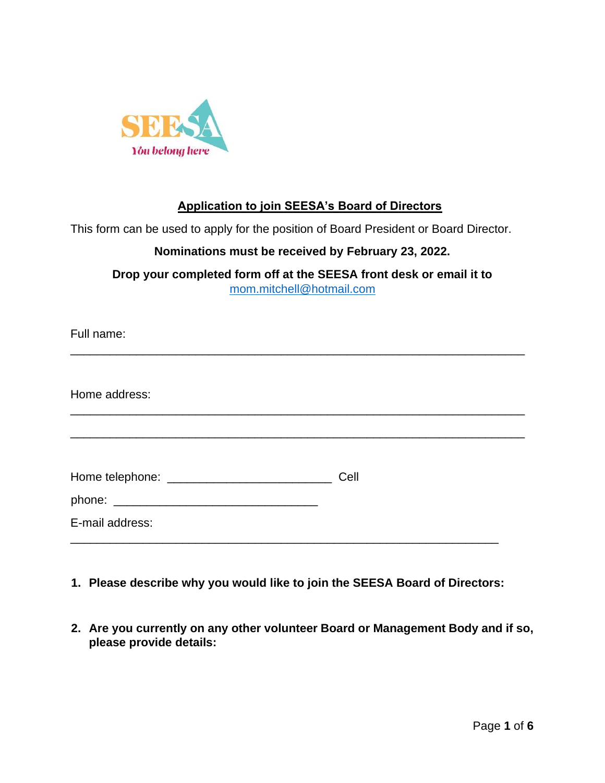

## **Application to join SEESA's Board of Directors**

This form can be used to apply for the position of Board President or Board Director.

## **Nominations must be received by February 23, 2022.**

**Drop your completed form off at the SEESA front desk or email it to**  mom.mitchell@hotmail.com

| Full name:      |      |
|-----------------|------|
| Home address:   |      |
|                 |      |
|                 | Cell |
| E-mail address: |      |

- **1. Please describe why you would like to join the SEESA Board of Directors:**
- **2. Are you currently on any other volunteer Board or Management Body and if so, please provide details:**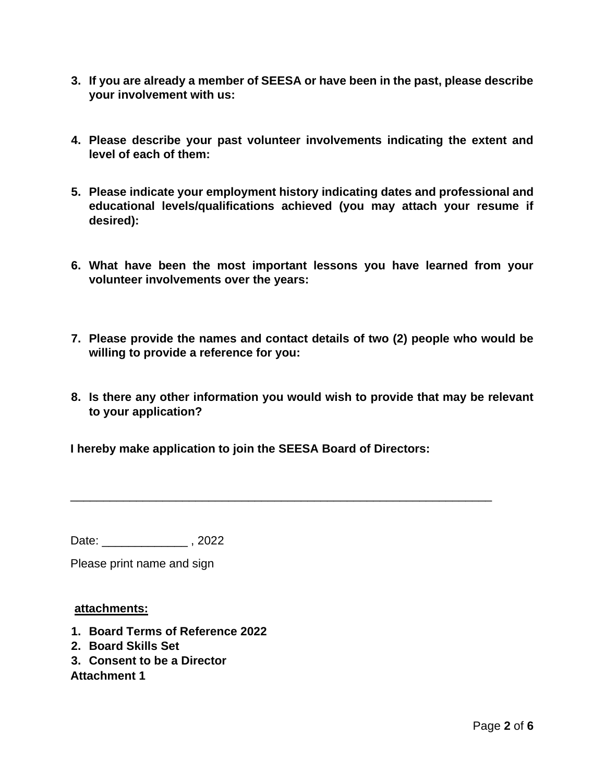- **3. If you are already a member of SEESA or have been in the past, please describe your involvement with us:**
- **4. Please describe your past volunteer involvements indicating the extent and level of each of them:**
- **5. Please indicate your employment history indicating dates and professional and educational levels/qualifications achieved (you may attach your resume if desired):**
- **6. What have been the most important lessons you have learned from your volunteer involvements over the years:**
- **7. Please provide the names and contact details of two (2) people who would be willing to provide a reference for you:**
- **8. Is there any other information you would wish to provide that may be relevant to your application?**

\_\_\_\_\_\_\_\_\_\_\_\_\_\_\_\_\_\_\_\_\_\_\_\_\_\_\_\_\_\_\_\_\_\_\_\_\_\_\_\_\_\_\_\_\_\_\_\_\_\_\_\_\_\_\_\_\_\_\_\_\_\_\_\_

**I hereby make application to join the SEESA Board of Directors:** 

Date: \_\_\_\_\_\_\_\_\_\_\_\_\_\_\_, 2022

Please print name and sign

#### **attachments:**

- **1. Board Terms of Reference 2022**
- **2. Board Skills Set**
- **3. Consent to be a Director**

**Attachment 1**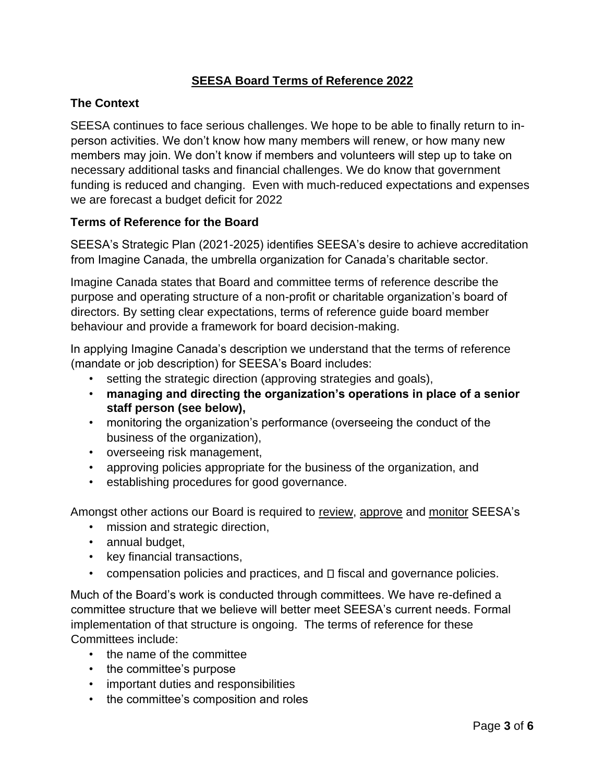## **SEESA Board Terms of Reference 2022**

### **The Context**

SEESA continues to face serious challenges. We hope to be able to finally return to inperson activities. We don't know how many members will renew, or how many new members may join. We don't know if members and volunteers will step up to take on necessary additional tasks and financial challenges. We do know that government funding is reduced and changing. Even with much-reduced expectations and expenses we are forecast a budget deficit for 2022

#### **Terms of Reference for the Board**

SEESA's Strategic Plan (2021-2025) identifies SEESA's desire to achieve accreditation from Imagine Canada, the umbrella organization for Canada's charitable sector.

Imagine Canada states that Board and committee terms of reference describe the purpose and operating structure of a non-profit or charitable organization's board of directors. By setting clear expectations, terms of reference guide board member behaviour and provide a framework for board decision-making.

In applying Imagine Canada's description we understand that the terms of reference (mandate or job description) for SEESA's Board includes:

- setting the strategic direction (approving strategies and goals),
- **managing and directing the organization's operations in place of a senior staff person (see below),**
- monitoring the organization's performance (overseeing the conduct of the business of the organization),
- overseeing risk management,
- approving policies appropriate for the business of the organization, and
- establishing procedures for good governance.

Amongst other actions our Board is required to review, approve and monitor SEESA's

- mission and strategic direction,
- annual budget,
- key financial transactions,
- compensation policies and practices, and  $\Box$  fiscal and governance policies.

Much of the Board's work is conducted through committees. We have re-defined a committee structure that we believe will better meet SEESA's current needs. Formal implementation of that structure is ongoing. The terms of reference for these Committees include:

- the name of the committee
- the committee's purpose
- important duties and responsibilities
- the committee's composition and roles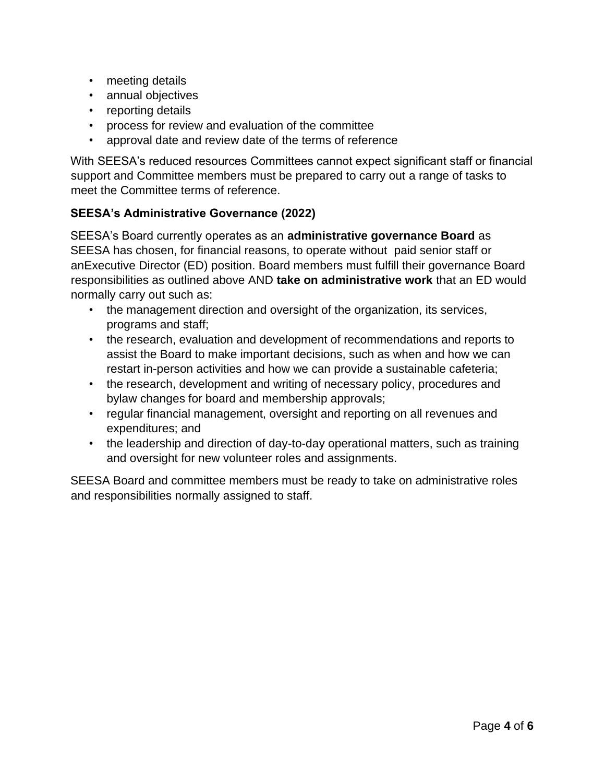- meeting details
- annual objectives
- reporting details
- process for review and evaluation of the committee
- approval date and review date of the terms of reference

With SEESA's reduced resources Committees cannot expect significant staff or financial support and Committee members must be prepared to carry out a range of tasks to meet the Committee terms of reference.

#### **SEESA's Administrative Governance (2022)**

SEESA's Board currently operates as an **administrative governance Board** as SEESA has chosen, for financial reasons, to operate without paid senior staff or anExecutive Director (ED) position. Board members must fulfill their governance Board responsibilities as outlined above AND **take on administrative work** that an ED would normally carry out such as:

- the management direction and oversight of the organization, its services, programs and staff;
- the research, evaluation and development of recommendations and reports to assist the Board to make important decisions, such as when and how we can restart in-person activities and how we can provide a sustainable cafeteria;
- the research, development and writing of necessary policy, procedures and bylaw changes for board and membership approvals;
- regular financial management, oversight and reporting on all revenues and expenditures; and
- the leadership and direction of day-to-day operational matters, such as training and oversight for new volunteer roles and assignments.

SEESA Board and committee members must be ready to take on administrative roles and responsibilities normally assigned to staff.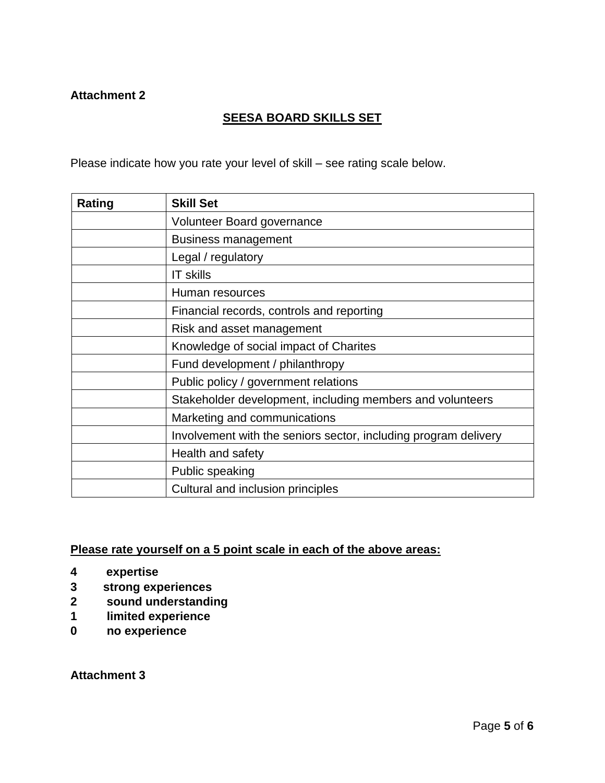#### **Attachment 2**

## **SEESA BOARD SKILLS SET**

Please indicate how you rate your level of skill – see rating scale below.

| Rating | <b>Skill Set</b>                                                |
|--------|-----------------------------------------------------------------|
|        | Volunteer Board governance                                      |
|        | <b>Business management</b>                                      |
|        | Legal / regulatory                                              |
|        | <b>IT skills</b>                                                |
|        | Human resources                                                 |
|        | Financial records, controls and reporting                       |
|        | Risk and asset management                                       |
|        | Knowledge of social impact of Charites                          |
|        | Fund development / philanthropy                                 |
|        | Public policy / government relations                            |
|        | Stakeholder development, including members and volunteers       |
|        | Marketing and communications                                    |
|        | Involvement with the seniors sector, including program delivery |
|        | Health and safety                                               |
|        | Public speaking                                                 |
|        | Cultural and inclusion principles                               |

## **Please rate yourself on a 5 point scale in each of the above areas:**

- **4 expertise**
- **3 strong experiences**
- **2 sound understanding**
- **1 limited experience**
- **0 no experience**

**Attachment 3**